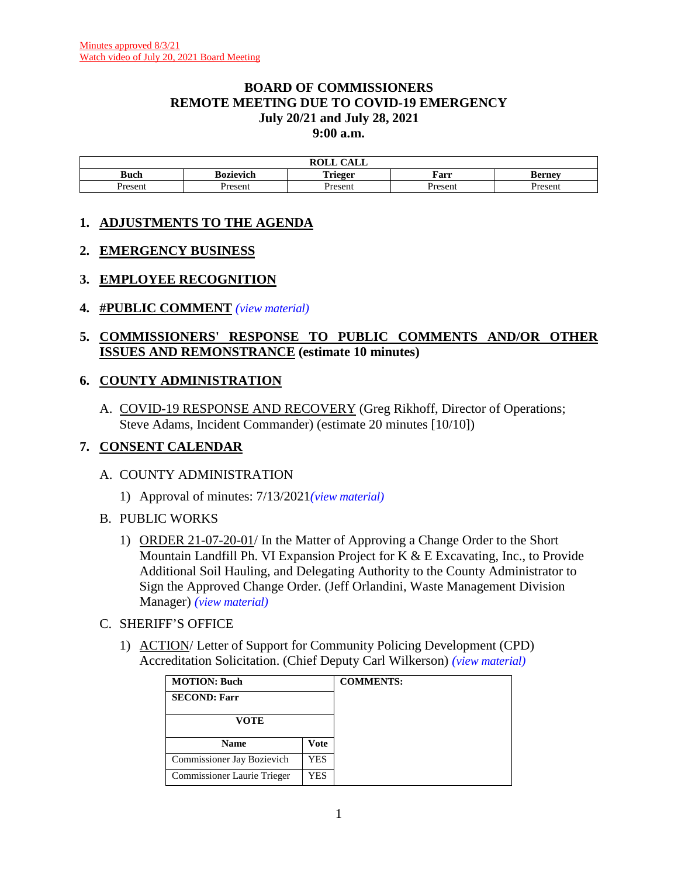#### **BOARD OF COMMISSIONERS REMOTE MEETING DUE TO COVID-19 EMERGENCY July 20/21 and July 28, 2021 9:00 a.m.**

| $\sim$ $\sim$ $\sim$<br>DAT T<br>САЫЛ<br>nvili |                  |                |        |               |  |  |
|------------------------------------------------|------------------|----------------|--------|---------------|--|--|
| <b>Buch</b>                                    | <b>Bozievich</b> | Trieger        | Farr   | <b>Berney</b> |  |  |
| Present                                        | Present          | <b>Present</b> | Presen | Jroconi       |  |  |

# **1. ADJUSTMENTS TO THE AGENDA**

#### **2. EMERGENCY BUSINESS**

#### **3. EMPLOYEE RECOGNITION**

**4. #PUBLIC COMMENT** *(view [material\)](http://www.lanecountyor.gov/UserFiles/Servers/Server_3585797/File/Government/BCC/2021/2021_AGENDAS/072021agenda/T.4.pdf)*

#### **5. COMMISSIONERS' RESPONSE TO PUBLIC COMMENTS AND/OR OTHER ISSUES AND REMONSTRANCE (estimate 10 minutes)**

#### **6. COUNTY ADMINISTRATION**

A. COVID-19 RESPONSE AND RECOVERY (Greg Rikhoff, Director of Operations; Steve Adams, Incident Commander) (estimate 20 minutes [10/10])

#### **7. CONSENT CALENDAR**

#### A. COUNTY ADMINISTRATION

- 1) Approval of minutes: 7/13/2021*(view [material\)](http://www.lanecountyor.gov/UserFiles/Servers/Server_3585797/File/Government/BCC/2021/2021_AGENDAS/072021agenda/T.7.A.1.pdf)*
- B. PUBLIC WORKS
	- 1) ORDER 21-07-20-01/ In the Matter of Approving a Change Order to the Short Mountain Landfill Ph. VI Expansion Project for K & E Excavating, Inc., to Provide Additional Soil Hauling, and Delegating Authority to the County Administrator to Sign the Approved Change Order. (Jeff Orlandini, Waste Management Division Manager) *(view [material\)](http://www.lanecountyor.gov/UserFiles/Servers/Server_3585797/File/Government/BCC/2021/2021_AGENDAS/072021agenda/T.7.B.1.pdf)*
- C. SHERIFF'S OFFICE
	- 1) ACTION/ Letter of Support for Community Policing Development (CPD) Accreditation Solicitation. (Chief Deputy Carl Wilkerson) *(view [material\)](http://www.lanecountyor.gov/UserFiles/Servers/Server_3585797/File/Government/BCC/2021/2021_AGENDAS/072021agenda/T.7.C.1.pdf)*

| <b>MOTION: Buch</b>         |      | <b>COMMENTS:</b> |
|-----------------------------|------|------------------|
| <b>SECOND: Farr</b>         |      |                  |
| VOTE                        |      |                  |
| <b>Name</b>                 | Vote |                  |
| Commissioner Jay Bozievich  | YES  |                  |
| Commissioner Laurie Trieger | YES  |                  |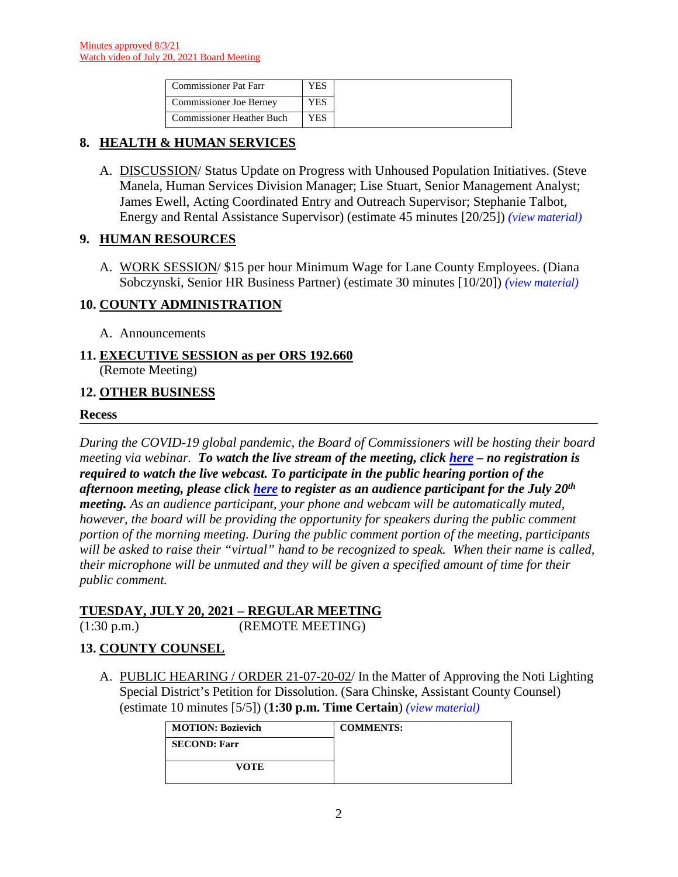| <b>Commissioner Pat Farr</b>     | ΈS  |
|----------------------------------|-----|
| Commissioner Joe Berney          | YES |
| <b>Commissioner Heather Buch</b> | ΈS. |

# **8. HEALTH & HUMAN SERVICES**

A. DISCUSSION/ Status Update on Progress with Unhoused Population Initiatives. (Steve Manela, Human Services Division Manager; Lise Stuart, Senior Management Analyst; James Ewell, Acting Coordinated Entry and Outreach Supervisor; Stephanie Talbot, Energy and Rental Assistance Supervisor) (estimate 45 minutes [20/25]) *(view [material\)](http://www.lanecountyor.gov/UserFiles/Servers/Server_3585797/File/Government/BCC/2021/2021_AGENDAS/072021agenda/T.8.A.pdf)*

#### **9. HUMAN RESOURCES**

A. WORK SESSION/ \$15 per hour Minimum Wage for Lane County Employees. (Diana Sobczynski, Senior HR Business Partner) (estimate 30 minutes [10/20]) *(view [material\)](http://www.lanecountyor.gov/UserFiles/Servers/Server_3585797/File/Government/BCC/2021/2021_AGENDAS/072021agenda/T.9.A.pdf)*

# **10. COUNTY ADMINISTRATION**

A. Announcements

#### **11. EXECUTIVE SESSION as per ORS 192.660** (Remote Meeting)

#### **12. OTHER BUSINESS**

#### **Recess**

*During the COVID-19 global pandemic, the Board of Commissioners will be hosting their board meeting via webinar. To watch the live stream of the meeting, click [here](https://lanecounty.org/cms/One.aspx?portalId=3585881&pageId=7842434) – no registration is required to watch the live webcast. To participate in the public hearing portion of the afternoon meeting, please click [here](https://attendee.gotowebinar.com/register/7631558892096935182) to register as an audience participant for the July 20th meeting. As an audience participant, your phone and webcam will be automatically muted, however, the board will be providing the opportunity for speakers during the public comment portion of the morning meeting. During the public comment portion of the meeting, participants will be asked to raise their "virtual" hand to be recognized to speak. When their name is called, their microphone will be unmuted and they will be given a specified amount of time for their public comment.* 

#### **TUESDAY, JULY 20, 2021 – REGULAR MEETING**

(1:30 p.m.) (REMOTE MEETING)

# **13. COUNTY COUNSEL**

A. PUBLIC HEARING / ORDER 21-07-20-02/ In the Matter of Approving the Noti Lighting Special District's Petition for Dissolution. (Sara Chinske, Assistant County Counsel) (estimate 10 minutes [5/5]) (**1:30 p.m. Time Certain**) *(view [material\)](http://www.lanecountyor.gov/UserFiles/Servers/Server_3585797/File/Government/BCC/2021/2021_AGENDAS/072021agenda/T.13.A.pdf)*

| <b>MOTION: Bozievich</b> | <b>COMMENTS:</b> |
|--------------------------|------------------|
| <b>SECOND: Farr</b>      |                  |
| <b>VOTE</b>              |                  |
|                          |                  |